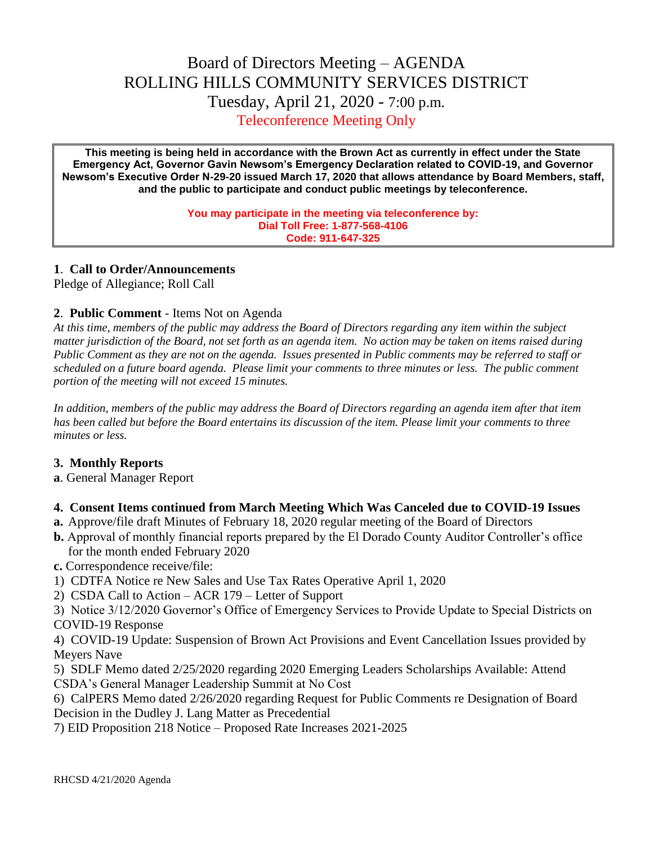# Board of Directors Meeting – AGENDA ROLLING HILLS COMMUNITY SERVICES DISTRICT Tuesday, April 21, 2020 - 7:00 p.m. Teleconference Meeting Only

**This meeting is being held in accordance with the Brown Act as currently in effect under the State Emergency Act, Governor Gavin Newsom's Emergency Declaration related to COVID-19, and Governor Newsom's Executive Order N-29-20 issued March 17, 2020 that allows attendance by Board Members, staff, and the public to participate and conduct public meetings by teleconference.**

> **You may participate in the meeting via teleconference by: Dial Toll Free: 1-877-568-4106 Code: 911-647-325**

# **1**. **Call to Order/Announcements**

Pledge of Allegiance; Roll Call

#### **2**. **Public Comment** - Items Not on Agenda

*At this time, members of the public may address the Board of Directors regarding any item within the subject matter jurisdiction of the Board, not set forth as an agenda item. No action may be taken on items raised during Public Comment as they are not on the agenda. Issues presented in Public comments may be referred to staff or scheduled on a future board agenda. Please limit your comments to three minutes or less. The public comment portion of the meeting will not exceed 15 minutes.*

*In addition, members of the public may address the Board of Directors regarding an agenda item after that item has been called but before the Board entertains its discussion of the item. Please limit your comments to three minutes or less.*

# **3. Monthly Reports**

**a**. General Manager Report

# **4. Consent Items continued from March Meeting Which Was Canceled due to COVID-19 Issues**

- **a.** Approve/file draft Minutes of February 18, 2020 regular meeting of the Board of Directors
- **b.** Approval of monthly financial reports prepared by the El Dorado County Auditor Controller's office for the month ended February 2020

**c.** Correspondence receive/file:

- 1) CDTFA Notice re New Sales and Use Tax Rates Operative April 1, 2020
- 2) CSDA Call to Action ACR 179 Letter of Support

3) Notice 3/12/2020 Governor's Office of Emergency Services to Provide Update to Special Districts on COVID-19 Response

4) COVID-19 Update: Suspension of Brown Act Provisions and Event Cancellation Issues provided by Meyers Nave

5) SDLF Memo dated 2/25/2020 regarding 2020 Emerging Leaders Scholarships Available: Attend CSDA's General Manager Leadership Summit at No Cost

6) CalPERS Memo dated 2/26/2020 regarding Request for Public Comments re Designation of Board Decision in the Dudley J. Lang Matter as Precedential

7) EID Proposition 218 Notice – Proposed Rate Increases 2021-2025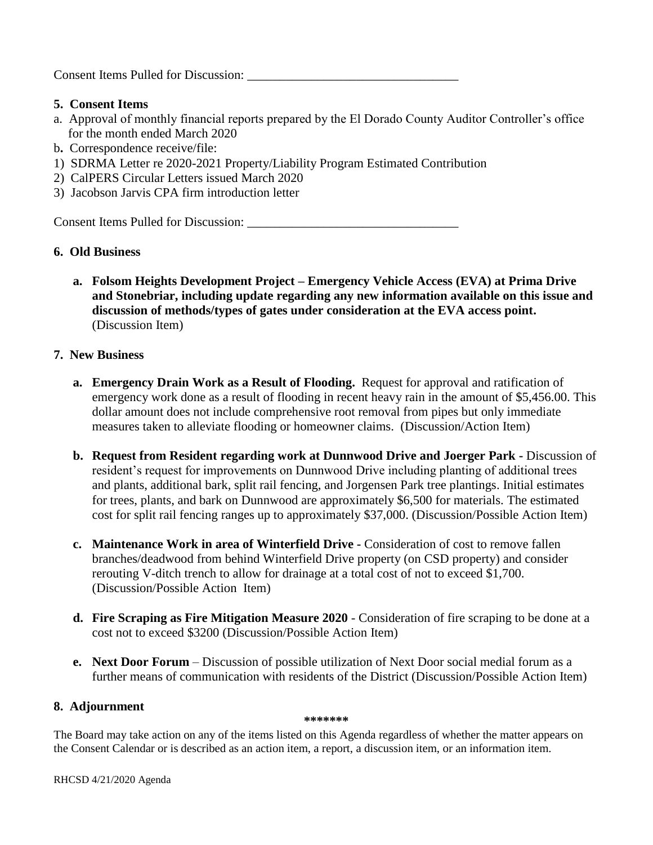Consent Items Pulled for Discussion: \_\_\_\_\_\_\_\_\_\_\_\_\_\_\_\_\_\_\_\_\_\_\_\_\_\_\_\_\_\_\_\_\_

# **5. Consent Items**

- a. Approval of monthly financial reports prepared by the El Dorado County Auditor Controller's office for the month ended March 2020
- b**.** Correspondence receive/file:
- 1) SDRMA Letter re 2020-2021 Property/Liability Program Estimated Contribution
- 2) CalPERS Circular Letters issued March 2020
- 3) Jacobson Jarvis CPA firm introduction letter

Consent Items Pulled for Discussion: \_\_\_\_\_\_\_\_\_\_\_\_\_\_\_\_\_\_\_\_\_\_\_\_\_\_\_\_\_\_\_\_\_

# **6. Old Business**

**a. Folsom Heights Development Project – Emergency Vehicle Access (EVA) at Prima Drive and Stonebriar, including update regarding any new information available on this issue and discussion of methods/types of gates under consideration at the EVA access point.**  (Discussion Item)

# **7. New Business**

- **a. Emergency Drain Work as a Result of Flooding.** Request for approval and ratification of emergency work done as a result of flooding in recent heavy rain in the amount of \$5,456.00. This dollar amount does not include comprehensive root removal from pipes but only immediate measures taken to alleviate flooding or homeowner claims. (Discussion/Action Item)
- **b. Request from Resident regarding work at Dunnwood Drive and Joerger Park -** Discussion of resident's request for improvements on Dunnwood Drive including planting of additional trees and plants, additional bark, split rail fencing, and Jorgensen Park tree plantings. Initial estimates for trees, plants, and bark on Dunnwood are approximately \$6,500 for materials. The estimated cost for split rail fencing ranges up to approximately \$37,000. (Discussion/Possible Action Item)
- **c. Maintenance Work in area of Winterfield Drive -** Consideration of cost to remove fallen branches/deadwood from behind Winterfield Drive property (on CSD property) and consider rerouting V-ditch trench to allow for drainage at a total cost of not to exceed \$1,700. (Discussion/Possible Action Item)
- **d. Fire Scraping as Fire Mitigation Measure 2020** Consideration of fire scraping to be done at a cost not to exceed \$3200 (Discussion/Possible Action Item)
- **e. Next Door Forum**  Discussion of possible utilization of Next Door social medial forum as a further means of communication with residents of the District (Discussion/Possible Action Item)

# **8. Adjournment**

#### **\*\*\*\*\*\*\***

The Board may take action on any of the items listed on this Agenda regardless of whether the matter appears on the Consent Calendar or is described as an action item, a report, a discussion item, or an information item.